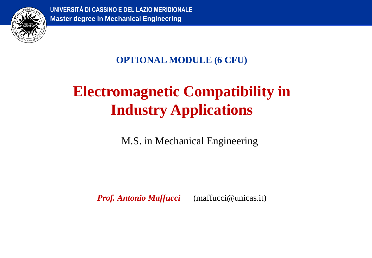

**UNIVERSITÀ DI CASSINO E DEL LAZIO MERIDIONALE Master degree in Mechanical Engineering**

## **OPTIONAL MODULE (6 CFU)**

# **Electromagnetic Compatibility in Industry Applications**

M.S. in Mechanical Engineering

*Prof. Antonio Maffucci* (maffucci@unicas.it)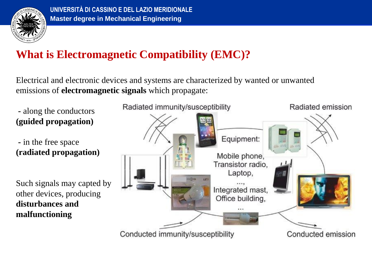

## **What is Electromagnetic Compatibility (EMC)?**

Electrical and electronic devices and systems are characterized by wanted or unwanted emissions of **electromagnetic signals** which propagate:

- **-** along the conductors **(guided propagation)**
- **-** in the free space **(radiated propagation)**
- Such signals may capted by other devices, producing **disturbances and malfunctioning**

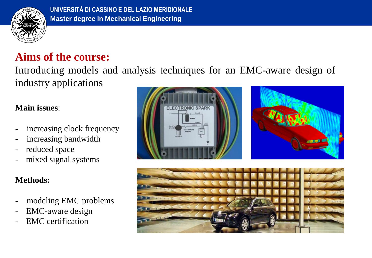

## **Aims of the course:**

Introducing models and analysis techniques for an EMC-aware design of industry applications

#### **Main issues**:

- increasing clock frequency
- increasing bandwidth
- reduced space
- mixed signal systems

### **Methods:**

- **-** modeling EMC problems
- EMC-aware design
- EMC certification